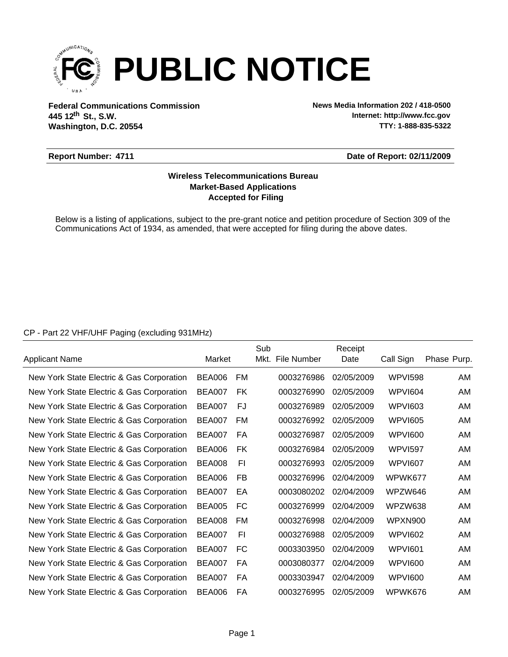

**Federal Communications Commission News Media Information 202 / 418-0500 Washington, D.C. 20554 th 445 12 St., S.W.**

**Internet: http://www.fcc.gov TTY: 1-888-835-5322**

#### **Report Number: 4711**

#### **Date of Report: 02/11/2009**

### **Accepted for Filing Market-Based Applications Wireless Telecommunications Bureau**

Below is a listing of applications, subject to the pre-grant notice and petition procedure of Section 309 of the Communications Act of 1934, as amended, that were accepted for filing during the above dates.

### CP - Part 22 VHF/UHF Paging (excluding 931MHz)

|                                           |               |    | Sub |                  | Receipt    |                |             |
|-------------------------------------------|---------------|----|-----|------------------|------------|----------------|-------------|
| Applicant Name                            | Market        |    |     | Mkt. File Number | Date       | Call Sign      | Phase Purp. |
| New York State Electric & Gas Corporation | BEA006        | FM |     | 0003276986       | 02/05/2009 | <b>WPVI598</b> | AM.         |
| New York State Electric & Gas Corporation | <b>BEA007</b> | FK |     | 0003276990       | 02/05/2009 | WPVI604        | AM          |
| New York State Electric & Gas Corporation | BEA007        | FJ |     | 0003276989       | 02/05/2009 | WPVI603        | AM          |
| New York State Electric & Gas Corporation | <b>BEA007</b> | FM |     | 0003276992       | 02/05/2009 | <b>WPVI605</b> | AM          |
| New York State Electric & Gas Corporation | <b>BEA007</b> | FA |     | 0003276987       | 02/05/2009 | <b>WPVI600</b> | AM          |
| New York State Electric & Gas Corporation | <b>BEA006</b> | FK |     | 0003276984       | 02/05/2009 | <b>WPVI597</b> | AM          |
| New York State Electric & Gas Corporation | <b>BEA008</b> | FI |     | 0003276993       | 02/05/2009 | <b>WPVI607</b> | AM.         |
| New York State Electric & Gas Corporation | <b>BEA006</b> | FB |     | 0003276996       | 02/04/2009 | WPWK677        | AM          |
| New York State Electric & Gas Corporation | <b>BEA007</b> | EA |     | 0003080202       | 02/04/2009 | WPZW646        | AM          |
| New York State Electric & Gas Corporation | <b>BEA005</b> | FC |     | 0003276999       | 02/04/2009 | WPZW638        | AM          |
| New York State Electric & Gas Corporation | <b>BEA008</b> | FM |     | 0003276998       | 02/04/2009 | WPXN900        | AM.         |
| New York State Electric & Gas Corporation | <b>BEA007</b> | FI |     | 0003276988       | 02/05/2009 | <b>WPVI602</b> | AM          |
| New York State Electric & Gas Corporation | <b>BEA007</b> | FC |     | 0003303950       | 02/04/2009 | WPVI601        | AM          |
| New York State Electric & Gas Corporation | <b>BEA007</b> | FA |     | 0003080377       | 02/04/2009 | <b>WPVI600</b> | AM          |
| New York State Electric & Gas Corporation | <b>BEA007</b> | FA |     | 0003303947       | 02/04/2009 | <b>WPVI600</b> | AM          |
| New York State Electric & Gas Corporation | <b>BEA006</b> | FA |     | 0003276995       | 02/05/2009 | WPWK676        | AM          |